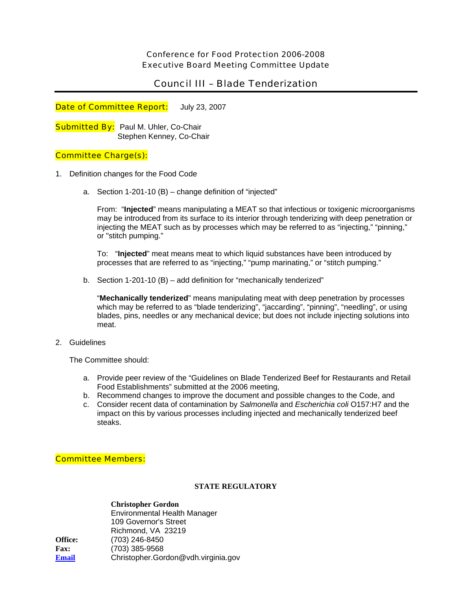## Conference for Food Protection 2006-2008 Executive Board Meeting Committee Update

# Council III – Blade Tenderization

Date of Committee Report: July 23, 2007

**Submitted By:** Paul M. Uhler, Co-Chair Stephen Kenney, Co-Chair

## Committee Charge(s):

- 1. Definition changes for the Food Code
	- a. Section 1-201-10 (B) change definition of "injected"

From: "**Injected**" means manipulating a MEAT so that infectious or toxigenic microorganisms may be introduced from its surface to its interior through tenderizing with deep penetration or injecting the MEAT such as by processes which may be referred to as "injecting," "pinning," or "stitch pumping."

To: "**Injected**" meat means meat to which liquid substances have been introduced by processes that are referred to as "injecting," "pump marinating," or "stitch pumping."

b. Section 1-201-10 (B) – add definition for "mechanically tenderized"

"**Mechanically tenderized**" means manipulating meat with deep penetration by processes which may be referred to as "blade tenderizing", "jaccarding", "pinning", "needling", or using blades, pins, needles or any mechanical device; but does not include injecting solutions into meat.

2. Guidelines

The Committee should:

- a. Provide peer review of the "Guidelines on Blade Tenderized Beef for Restaurants and Retail Food Establishments" submitted at the 2006 meeting,
- b. Recommend changes to improve the document and possible changes to the Code, and
- c. Consider recent data of contamination by *Salmonella* and *Escherichia coli* O157:H7 and the impact on this by various processes including injected and mechanically tenderized beef steaks.

## Committee Members:

### **STATE REGULATORY**

 **Christopher Gordon** Environmental Health Manager 109 Governor's Street Richmond, VA 23219 **Office:** (703) 246-8450 **Fax:** (703) 385-9568 **[Email](mailto:newtonl@snhdmail.org)** Christopher.Gordon@vdh.virginia.gov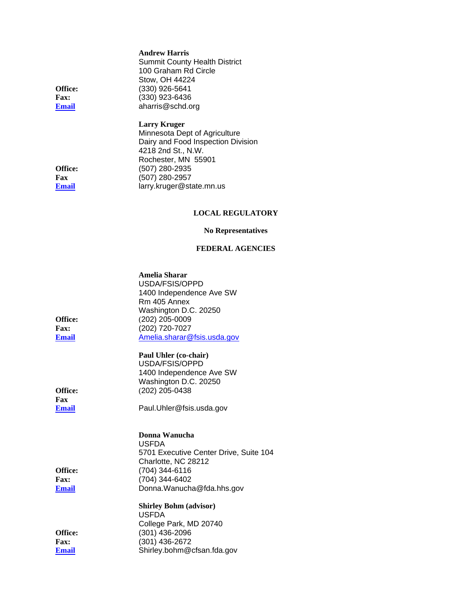|                | <b>Andrew Harris</b>                 |
|----------------|--------------------------------------|
|                | <b>Summit County Health District</b> |
|                | 100 Graham Rd Circle                 |
|                | Stow, OH 44224                       |
| <b>Office:</b> | (330) 926-5641                       |
| <b>Fax:</b>    | (330) 923-6436                       |
| Email          | aharris@schd.org                     |
|                |                                      |

**Office: Fax: Email** 

 **Larry Kruger**  Minnesota Dept of Agriculture Dairy and Food Inspection Division 4218 2nd St., N.W. Rochester, MN 55901 **Office:** (507) 280-2935 **Fax** (507) 280-2957 **[Email](mailto:newtonl@snhdmail.org)** larry.kruger@state.mn.us

# **LOCAL REGULATORY**

#### **No Representatives**

### **FEDERAL AGENCIES**

| <b>Office:</b><br><b>Fax:</b><br><b>Email</b> | Amelia Sharar<br>USDA/FSIS/OPPD<br>1400 Independence Ave SW<br>Rm 405 Annex<br>Washington D.C. 20250<br>(202) 205-0009<br>(202) 720-7027<br>Amelia.sharar@fsis.usda.gov |
|-----------------------------------------------|-------------------------------------------------------------------------------------------------------------------------------------------------------------------------|
| <b>Office:</b><br>Fax<br>Email                | Paul Uhler (co-chair)<br>USDA/FSIS/OPPD<br>1400 Independence Ave SW<br>Washington D.C. 20250<br>(202) 205-0438<br>Paul.Uhler@fsis.usda.gov                              |
| Office:<br><b>Fax:</b><br><b>Email</b>        | Donna Wanucha<br><b>USFDA</b><br>5701 Executive Center Drive, Suite 104<br>Charlotte, NC 28212<br>(704) 344-6116<br>(704) 344-6402<br>Donna.Wanucha@fda.hhs.gov         |
| Office:<br><b>Fax:</b><br>Email               | <b>Shirley Bohm (advisor)</b><br><b>USFDA</b><br>College Park, MD 20740<br>(301) 436-2096<br>(301) 436-2672<br>Shirley.bohm@cfsan.fda.gov                               |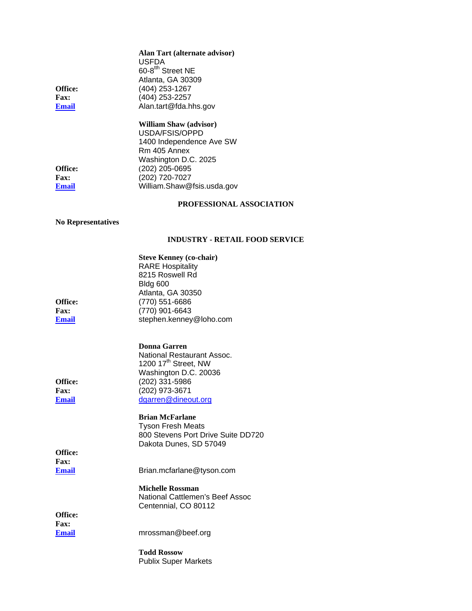|                             | Alan Tart (alternate advisor)<br><b>USFDA</b>                  |
|-----------------------------|----------------------------------------------------------------|
|                             | 60-8 <sup>tth</sup> Street NE<br>Atlanta, GA 30309             |
| Office:                     | (404) 253-1267                                                 |
| <b>Fax:</b><br><b>Email</b> | (404) 253-2257<br>Alan.tart@fda.hhs.gov                        |
|                             |                                                                |
|                             | <b>William Shaw (advisor)</b>                                  |
|                             | USDA/FSIS/OPPD<br>1400 Independence Ave SW                     |
|                             | Rm 405 Annex                                                   |
|                             | Washington D.C. 2025                                           |
| Office:<br><b>Fax:</b>      | (202) 205-0695<br>(202) 720-7027                               |
| <b>Email</b>                | William.Shaw@fsis.usda.gov                                     |
|                             | PROFESSIONAL ASSOCIATION                                       |
| <b>No Representatives</b>   |                                                                |
|                             | <b>INDUSTRY - RETAIL FOOD SERVICE</b>                          |
|                             | <b>Steve Kenney (co-chair)</b>                                 |
|                             | <b>RARE Hospitality</b><br>8215 Roswell Rd                     |
|                             | Bldg 600                                                       |
|                             | Atlanta, GA 30350                                              |
| Office:<br><b>Fax:</b>      | (770) 551-6686<br>(770) 901-6643                               |
| <b>Email</b>                | stephen.kenney@loho.com                                        |
|                             |                                                                |
|                             | Donna Garren                                                   |
|                             | National Restaurant Assoc.<br>1200 17 <sup>th</sup> Street, NW |
|                             | Washington D.C. 20036                                          |
| Office:                     | (202) 331-5986                                                 |
| Fax:                        | (202) 973-3671                                                 |
| <b>Email</b>                | dgarren@dineout.org                                            |
|                             | <b>Brian McFarlane</b>                                         |
|                             | <b>Tyson Fresh Meats</b><br>800 Stevens Port Drive Suite DD720 |
|                             | Dakota Dunes, SD 57049                                         |
| Office:                     |                                                                |
| <b>Fax:</b><br><b>Email</b> | Brian.mcfarlane@tyson.com                                      |
|                             |                                                                |
|                             | <b>Michelle Rossman</b>                                        |
|                             | National Cattlemen's Beef Assoc<br>Centennial, CO 80112        |
| Office:                     |                                                                |
| <b>Fax:</b>                 |                                                                |
| <b>Email</b>                | mrossman@beef.org                                              |
|                             | <b>Todd Rossow</b><br><b>Publix Super Markets</b>              |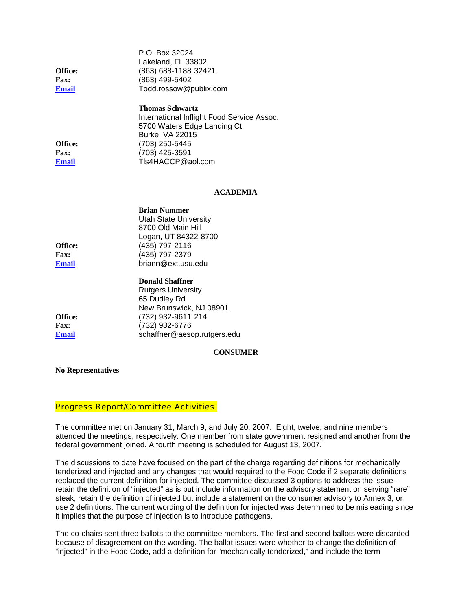|              | P.O. Box 32024         |
|--------------|------------------------|
|              | Lakeland, FL 33802     |
| Office:      | (863) 688-1188 32421   |
| <b>Fax:</b>  | (863) 499-5402         |
| <b>Email</b> | Todd.rossow@publix.com |
|              |                        |

|             | <b>Thomas Schwartz</b>                     |
|-------------|--------------------------------------------|
|             | International Inflight Food Service Assoc. |
|             | 5700 Waters Edge Landing Ct.               |
|             | Burke, VA 22015                            |
| Office:     | (703) 250-5445                             |
| <b>Fax:</b> | (703) 425-3591                             |
| Email       | TIs4HACCP@aol.com                          |
|             |                                            |

#### **ACADEMIA**

| <b>Brian Nummer</b>                                 |
|-----------------------------------------------------|
| <b>Utah State University</b>                        |
| 8700 Old Main Hill                                  |
| Logan, UT 84322-8700                                |
| (435) 797-2116                                      |
| (435) 797-2379                                      |
| briann@ext.usu.edu                                  |
| <b>Donald Shaffner</b><br>Ductor and High condition |
|                                                     |

Rutgers University 65 Dudley Rd New Brunswick, NJ 08901 **Office:** (732) 932-9611 214 **Fax:** (732) 932-6776 **[Email](mailto:newtonl@snhdmail.org)** [schaffner@aesop.rutgers.edu](mailto:schaffner@aesop.rutgers.edu)

#### **CONSUMER**

**No Representatives** 

#### Progress Report/Committee Activities:

The committee met on January 31, March 9, and July 20, 2007. Eight, twelve, and nine members attended the meetings, respectively. One member from state government resigned and another from the federal government joined. A fourth meeting is scheduled for August 13, 2007.

The discussions to date have focused on the part of the charge regarding definitions for mechanically tenderized and injected and any changes that would required to the Food Code if 2 separate definitions replaced the current definition for injected. The committee discussed 3 options to address the issue – retain the definition of "injected" as is but include information on the advisory statement on serving "rare" steak, retain the definition of injected but include a statement on the consumer advisory to Annex 3, or use 2 definitions. The current wording of the definition for injected was determined to be misleading since it implies that the purpose of injection is to introduce pathogens.

The co-chairs sent three ballots to the committee members. The first and second ballots were discarded because of disagreement on the wording. The ballot issues were whether to change the definition of "injected" in the Food Code, add a definition for "mechanically tenderized," and include the term